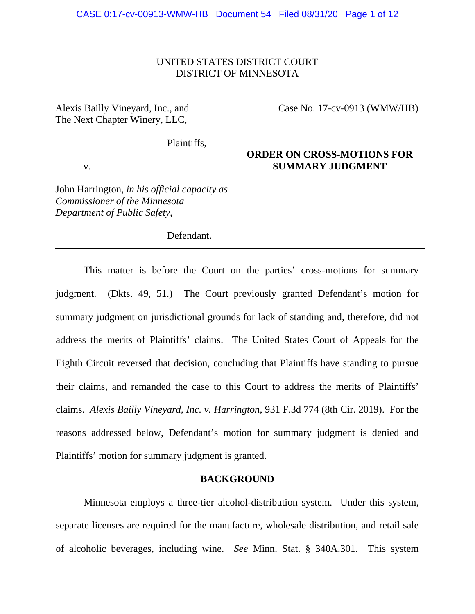## UNITED STATES DISTRICT COURT DISTRICT OF MINNESOTA

Alexis Bailly Vineyard, Inc., and The Next Chapter Winery, LLC,

Case No. 17-cv-0913 (WMW/HB)

Plaintiffs,

# **ORDER ON CROSS-MOTIONS FOR**  v. **SUMMARY JUDGMENT**

John Harrington, *in his official capacity as Commissioner of the Minnesota Department of Public Safety*,

Defendant.

This matter is before the Court on the parties' cross-motions for summary judgment. (Dkts. 49, 51.) The Court previously granted Defendant's motion for summary judgment on jurisdictional grounds for lack of standing and, therefore, did not address the merits of Plaintiffs' claims. The United States Court of Appeals for the Eighth Circuit reversed that decision, concluding that Plaintiffs have standing to pursue their claims, and remanded the case to this Court to address the merits of Plaintiffs' claims. *Alexis Bailly Vineyard, Inc. v. Harrington*, 931 F.3d 774 (8th Cir. 2019). For the reasons addressed below, Defendant's motion for summary judgment is denied and Plaintiffs' motion for summary judgment is granted.

## **BACKGROUND**

Minnesota employs a three-tier alcohol-distribution system. Under this system, separate licenses are required for the manufacture, wholesale distribution, and retail sale of alcoholic beverages, including wine. *See* Minn. Stat. § 340A.301. This system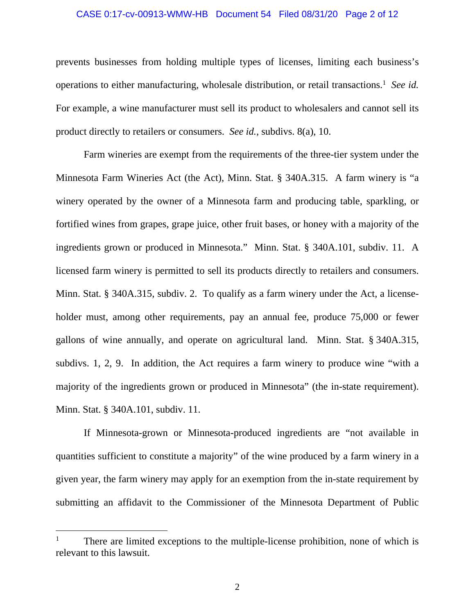### CASE 0:17-cv-00913-WMW-HB Document 54 Filed 08/31/20 Page 2 of 12

prevents businesses from holding multiple types of licenses, limiting each business's operations to either manufacturing, wholesale distribution, or retail transactions.<sup>1</sup> See id. For example, a wine manufacturer must sell its product to wholesalers and cannot sell its product directly to retailers or consumers. *See id.*, subdivs. 8(a), 10.

Farm wineries are exempt from the requirements of the three-tier system under the Minnesota Farm Wineries Act (the Act), Minn. Stat. § 340A.315. A farm winery is "a winery operated by the owner of a Minnesota farm and producing table, sparkling, or fortified wines from grapes, grape juice, other fruit bases, or honey with a majority of the ingredients grown or produced in Minnesota." Minn. Stat. § 340A.101, subdiv. 11. A licensed farm winery is permitted to sell its products directly to retailers and consumers. Minn. Stat. § 340A.315, subdiv. 2. To qualify as a farm winery under the Act, a licenseholder must, among other requirements, pay an annual fee, produce 75,000 or fewer gallons of wine annually, and operate on agricultural land. Minn. Stat. § 340A.315, subdivs. 1, 2, 9. In addition, the Act requires a farm winery to produce wine "with a majority of the ingredients grown or produced in Minnesota" (the in-state requirement). Minn. Stat. § 340A.101, subdiv. 11.

If Minnesota-grown or Minnesota-produced ingredients are "not available in quantities sufficient to constitute a majority" of the wine produced by a farm winery in a given year, the farm winery may apply for an exemption from the in-state requirement by submitting an affidavit to the Commissioner of the Minnesota Department of Public

<sup>1</sup> There are limited exceptions to the multiple-license prohibition, none of which is relevant to this lawsuit.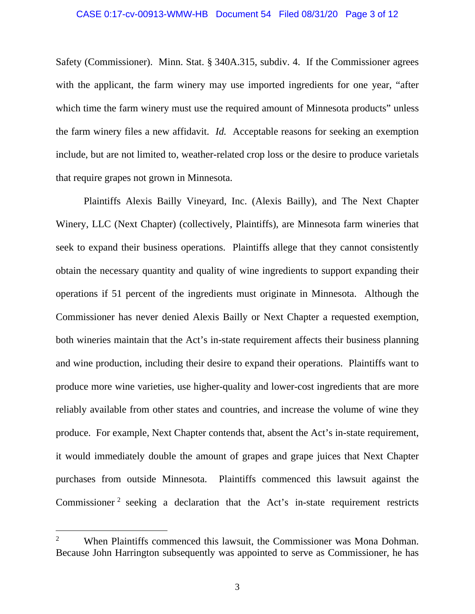#### CASE 0:17-cv-00913-WMW-HB Document 54 Filed 08/31/20 Page 3 of 12

Safety (Commissioner). Minn. Stat. § 340A.315, subdiv. 4. If the Commissioner agrees with the applicant, the farm winery may use imported ingredients for one year, "after which time the farm winery must use the required amount of Minnesota products" unless the farm winery files a new affidavit. *Id.* Acceptable reasons for seeking an exemption include, but are not limited to, weather-related crop loss or the desire to produce varietals that require grapes not grown in Minnesota.

Plaintiffs Alexis Bailly Vineyard, Inc. (Alexis Bailly), and The Next Chapter Winery, LLC (Next Chapter) (collectively, Plaintiffs), are Minnesota farm wineries that seek to expand their business operations. Plaintiffs allege that they cannot consistently obtain the necessary quantity and quality of wine ingredients to support expanding their operations if 51 percent of the ingredients must originate in Minnesota. Although the Commissioner has never denied Alexis Bailly or Next Chapter a requested exemption, both wineries maintain that the Act's in-state requirement affects their business planning and wine production, including their desire to expand their operations. Plaintiffs want to produce more wine varieties, use higher-quality and lower-cost ingredients that are more reliably available from other states and countries, and increase the volume of wine they produce. For example, Next Chapter contends that, absent the Act's in-state requirement, it would immediately double the amount of grapes and grape juices that Next Chapter purchases from outside Minnesota. Plaintiffs commenced this lawsuit against the Commissioner<sup>2</sup> seeking a declaration that the Act's in-state requirement restricts

<sup>2</sup> When Plaintiffs commenced this lawsuit, the Commissioner was Mona Dohman. Because John Harrington subsequently was appointed to serve as Commissioner, he has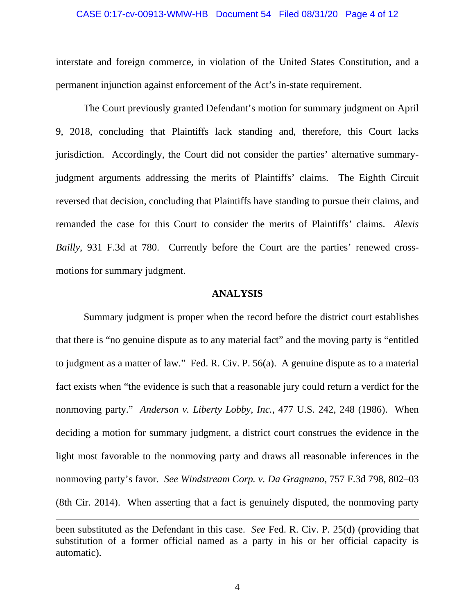#### CASE 0:17-cv-00913-WMW-HB Document 54 Filed 08/31/20 Page 4 of 12

interstate and foreign commerce, in violation of the United States Constitution, and a permanent injunction against enforcement of the Act's in-state requirement.

The Court previously granted Defendant's motion for summary judgment on April 9, 2018, concluding that Plaintiffs lack standing and, therefore, this Court lacks jurisdiction. Accordingly, the Court did not consider the parties' alternative summaryjudgment arguments addressing the merits of Plaintiffs' claims. The Eighth Circuit reversed that decision, concluding that Plaintiffs have standing to pursue their claims, and remanded the case for this Court to consider the merits of Plaintiffs' claims. *Alexis Bailly*, 931 F.3d at 780.Currently before the Court are the parties' renewed crossmotions for summary judgment.

## **ANALYSIS**

Summary judgment is proper when the record before the district court establishes that there is "no genuine dispute as to any material fact" and the moving party is "entitled to judgment as a matter of law." Fed. R. Civ. P. 56(a). A genuine dispute as to a material fact exists when "the evidence is such that a reasonable jury could return a verdict for the nonmoving party." *Anderson v. Liberty Lobby, Inc.*, 477 U.S. 242, 248 (1986). When deciding a motion for summary judgment, a district court construes the evidence in the light most favorable to the nonmoving party and draws all reasonable inferences in the nonmoving party's favor. *See Windstream Corp. v. Da Gragnano*, 757 F.3d 798, 802–03 (8th Cir. 2014). When asserting that a fact is genuinely disputed, the nonmoving party

been substituted as the Defendant in this case. *See* Fed. R. Civ. P. 25(d) (providing that substitution of a former official named as a party in his or her official capacity is automatic).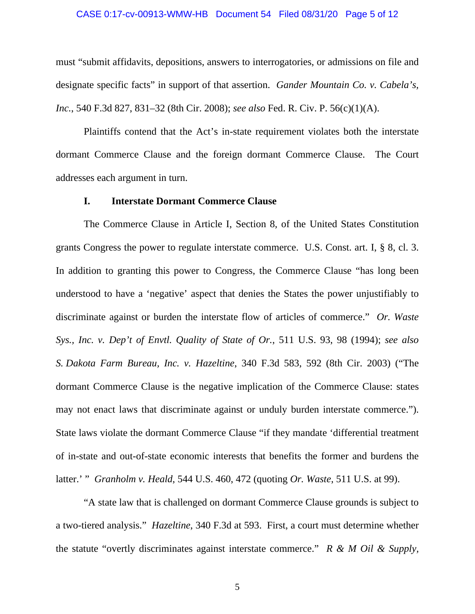### CASE 0:17-cv-00913-WMW-HB Document 54 Filed 08/31/20 Page 5 of 12

must "submit affidavits, depositions, answers to interrogatories, or admissions on file and designate specific facts" in support of that assertion. *Gander Mountain Co. v. Cabela's, Inc.*, 540 F.3d 827, 831–32 (8th Cir. 2008); *see also* Fed. R. Civ. P. 56(c)(1)(A).

Plaintiffs contend that the Act's in-state requirement violates both the interstate dormant Commerce Clause and the foreign dormant Commerce Clause. The Court addresses each argument in turn.

## **I. Interstate Dormant Commerce Clause**

The Commerce Clause in Article I, Section 8, of the United States Constitution grants Congress the power to regulate interstate commerce. U.S. Const. art. I, § 8, cl. 3. In addition to granting this power to Congress, the Commerce Clause "has long been understood to have a 'negative' aspect that denies the States the power unjustifiably to discriminate against or burden the interstate flow of articles of commerce." *Or. Waste Sys., Inc. v. Dep't of Envtl. Quality of State of Or.*, 511 U.S. 93, 98 (1994); *see also S. Dakota Farm Bureau, Inc. v. Hazeltine*, 340 F.3d 583, 592 (8th Cir. 2003) ("The dormant Commerce Clause is the negative implication of the Commerce Clause: states may not enact laws that discriminate against or unduly burden interstate commerce."). State laws violate the dormant Commerce Clause "if they mandate 'differential treatment of in-state and out-of-state economic interests that benefits the former and burdens the latter.' " *Granholm v. Heald*, 544 U.S. 460, 472 (quoting *Or. Waste*, 511 U.S. at 99).

"A state law that is challenged on dormant Commerce Clause grounds is subject to a two-tiered analysis." *Hazeltine*, 340 F.3d at 593. First, a court must determine whether the statute "overtly discriminates against interstate commerce." *R & M Oil & Supply,*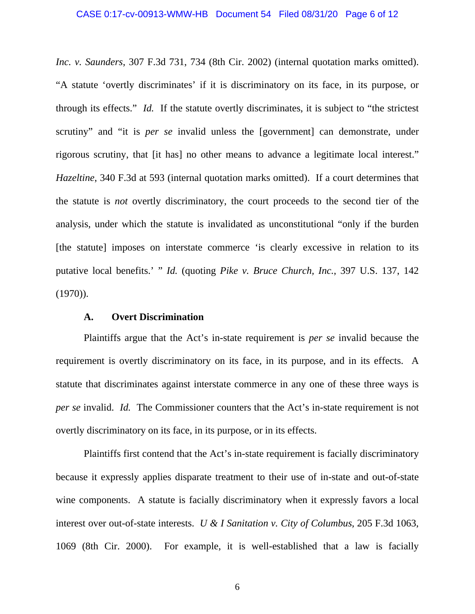*Inc. v. Saunders*, 307 F.3d 731, 734 (8th Cir. 2002) (internal quotation marks omitted). "A statute 'overtly discriminates' if it is discriminatory on its face, in its purpose, or through its effects." *Id.* If the statute overtly discriminates, it is subject to "the strictest scrutiny" and "it is *per se* invalid unless the [government] can demonstrate, under rigorous scrutiny, that [it has] no other means to advance a legitimate local interest." *Hazeltine*, 340 F.3d at 593 (internal quotation marks omitted). If a court determines that the statute is *not* overtly discriminatory, the court proceeds to the second tier of the analysis, under which the statute is invalidated as unconstitutional "only if the burden [the statute] imposes on interstate commerce 'is clearly excessive in relation to its putative local benefits.' " *Id.* (quoting *Pike v. Bruce Church, Inc.*, 397 U.S. 137, 142  $(1970)$ ).

## **A. Overt Discrimination**

Plaintiffs argue that the Act's in-state requirement is *per se* invalid because the requirement is overtly discriminatory on its face, in its purpose, and in its effects. A statute that discriminates against interstate commerce in any one of these three ways is *per se* invalid. *Id.* The Commissioner counters that the Act's in-state requirement is not overtly discriminatory on its face, in its purpose, or in its effects.

Plaintiffs first contend that the Act's in-state requirement is facially discriminatory because it expressly applies disparate treatment to their use of in-state and out-of-state wine components. A statute is facially discriminatory when it expressly favors a local interest over out-of-state interests. *U & I Sanitation v. City of Columbus*, 205 F.3d 1063, 1069 (8th Cir. 2000). For example, it is well-established that a law is facially

6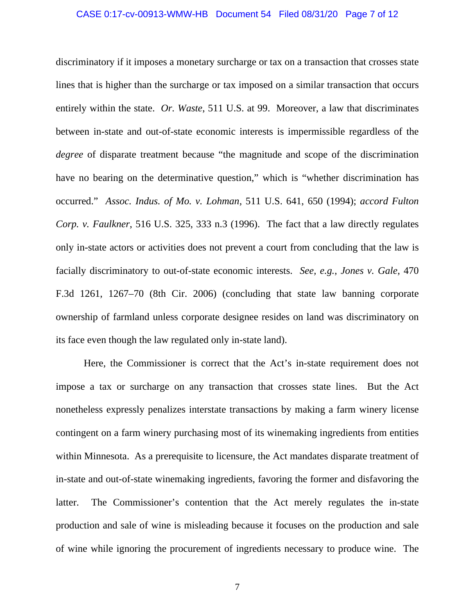#### CASE 0:17-cv-00913-WMW-HB Document 54 Filed 08/31/20 Page 7 of 12

discriminatory if it imposes a monetary surcharge or tax on a transaction that crosses state lines that is higher than the surcharge or tax imposed on a similar transaction that occurs entirely within the state. *Or. Waste*, 511 U.S. at 99. Moreover, a law that discriminates between in-state and out-of-state economic interests is impermissible regardless of the *degree* of disparate treatment because "the magnitude and scope of the discrimination have no bearing on the determinative question," which is "whether discrimination has occurred." *Assoc. Indus. of Mo. v. Lohman*, 511 U.S. 641, 650 (1994); *accord Fulton Corp. v. Faulkner*, 516 U.S. 325, 333 n.3 (1996). The fact that a law directly regulates only in-state actors or activities does not prevent a court from concluding that the law is facially discriminatory to out-of-state economic interests. *See, e.g.*, *Jones v. Gale*, 470 F.3d 1261, 1267–70 (8th Cir. 2006) (concluding that state law banning corporate ownership of farmland unless corporate designee resides on land was discriminatory on its face even though the law regulated only in-state land).

Here, the Commissioner is correct that the Act's in-state requirement does not impose a tax or surcharge on any transaction that crosses state lines. But the Act nonetheless expressly penalizes interstate transactions by making a farm winery license contingent on a farm winery purchasing most of its winemaking ingredients from entities within Minnesota. As a prerequisite to licensure, the Act mandates disparate treatment of in-state and out-of-state winemaking ingredients, favoring the former and disfavoring the latter. The Commissioner's contention that the Act merely regulates the in-state production and sale of wine is misleading because it focuses on the production and sale of wine while ignoring the procurement of ingredients necessary to produce wine. The

7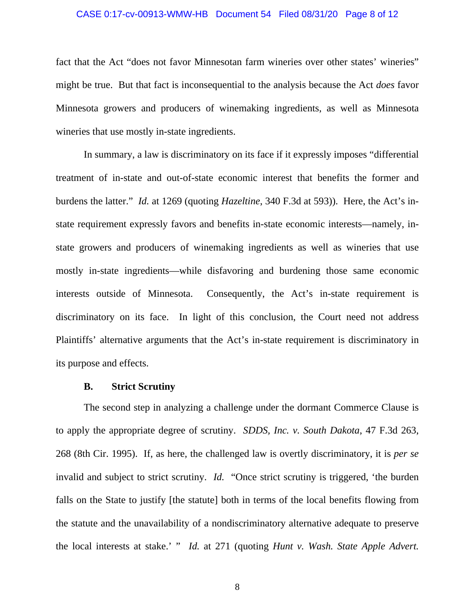#### CASE 0:17-cv-00913-WMW-HB Document 54 Filed 08/31/20 Page 8 of 12

fact that the Act "does not favor Minnesotan farm wineries over other states' wineries" might be true. But that fact is inconsequential to the analysis because the Act *does* favor Minnesota growers and producers of winemaking ingredients, as well as Minnesota wineries that use mostly in-state ingredients.

In summary, a law is discriminatory on its face if it expressly imposes "differential treatment of in-state and out-of-state economic interest that benefits the former and burdens the latter." *Id.* at 1269 (quoting *Hazeltine*, 340 F.3d at 593)). Here, the Act's instate requirement expressly favors and benefits in-state economic interests—namely, instate growers and producers of winemaking ingredients as well as wineries that use mostly in-state ingredients—while disfavoring and burdening those same economic interests outside of Minnesota. Consequently, the Act's in-state requirement is discriminatory on its face. In light of this conclusion, the Court need not address Plaintiffs' alternative arguments that the Act's in-state requirement is discriminatory in its purpose and effects.

#### **B. Strict Scrutiny**

The second step in analyzing a challenge under the dormant Commerce Clause is to apply the appropriate degree of scrutiny. *SDDS, Inc. v. South Dakota*, 47 F.3d 263, 268 (8th Cir. 1995). If, as here, the challenged law is overtly discriminatory, it is *per se* invalid and subject to strict scrutiny. *Id.* "Once strict scrutiny is triggered, 'the burden falls on the State to justify [the statute] both in terms of the local benefits flowing from the statute and the unavailability of a nondiscriminatory alternative adequate to preserve the local interests at stake.' " *Id.* at 271 (quoting *Hunt v. Wash. State Apple Advert.*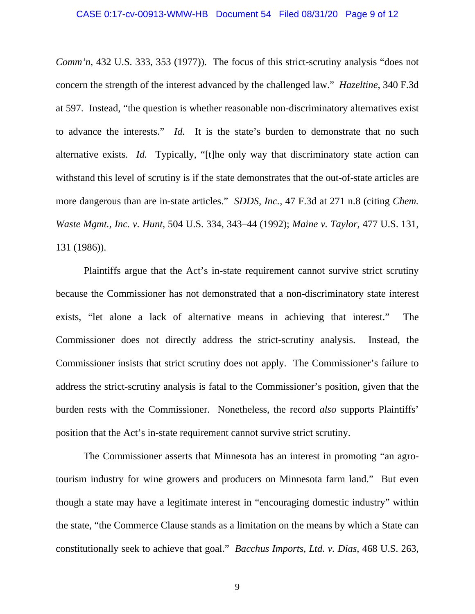*Comm'n*, 432 U.S. 333, 353 (1977)). The focus of this strict-scrutiny analysis "does not concern the strength of the interest advanced by the challenged law." *Hazeltine*, 340 F.3d at 597. Instead, "the question is whether reasonable non-discriminatory alternatives exist to advance the interests." *Id.* It is the state's burden to demonstrate that no such alternative exists. *Id.* Typically, "[t]he only way that discriminatory state action can withstand this level of scrutiny is if the state demonstrates that the out-of-state articles are more dangerous than are in-state articles." *SDDS, Inc.*, 47 F.3d at 271 n.8 (citing *Chem. Waste Mgmt., Inc. v. Hunt*, 504 U.S. 334, 343–44 (1992); *Maine v. Taylor*, 477 U.S. 131, 131 (1986)).

Plaintiffs argue that the Act's in-state requirement cannot survive strict scrutiny because the Commissioner has not demonstrated that a non-discriminatory state interest exists, "let alone a lack of alternative means in achieving that interest." The Commissioner does not directly address the strict-scrutiny analysis. Instead, the Commissioner insists that strict scrutiny does not apply. The Commissioner's failure to address the strict-scrutiny analysis is fatal to the Commissioner's position, given that the burden rests with the Commissioner. Nonetheless, the record *also* supports Plaintiffs' position that the Act's in-state requirement cannot survive strict scrutiny.

The Commissioner asserts that Minnesota has an interest in promoting "an agrotourism industry for wine growers and producers on Minnesota farm land." But even though a state may have a legitimate interest in "encouraging domestic industry" within the state, "the Commerce Clause stands as a limitation on the means by which a State can constitutionally seek to achieve that goal." *Bacchus Imports, Ltd. v. Dias*, 468 U.S. 263,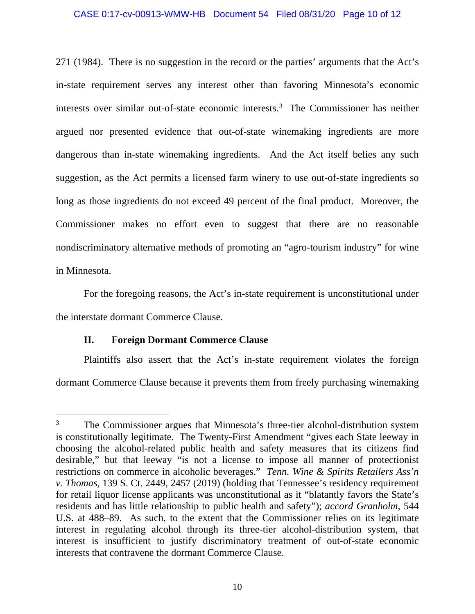### CASE 0:17-cv-00913-WMW-HB Document 54 Filed 08/31/20 Page 10 of 12

271 (1984). There is no suggestion in the record or the parties' arguments that the Act's in-state requirement serves any interest other than favoring Minnesota's economic interests over similar out-of-state economic interests.<sup>3</sup> The Commissioner has neither argued nor presented evidence that out-of-state winemaking ingredients are more dangerous than in-state winemaking ingredients. And the Act itself belies any such suggestion, as the Act permits a licensed farm winery to use out-of-state ingredients so long as those ingredients do not exceed 49 percent of the final product. Moreover, the Commissioner makes no effort even to suggest that there are no reasonable nondiscriminatory alternative methods of promoting an "agro-tourism industry" for wine in Minnesota.

For the foregoing reasons, the Act's in-state requirement is unconstitutional under the interstate dormant Commerce Clause.

# **II. Foreign Dormant Commerce Clause**

Plaintiffs also assert that the Act's in-state requirement violates the foreign dormant Commerce Clause because it prevents them from freely purchasing winemaking

<sup>3</sup> The Commissioner argues that Minnesota's three-tier alcohol-distribution system is constitutionally legitimate. The Twenty-First Amendment "gives each State leeway in choosing the alcohol-related public health and safety measures that its citizens find desirable," but that leeway "is not a license to impose all manner of protectionist restrictions on commerce in alcoholic beverages." *Tenn. Wine & Spirits Retailers Ass'n v. Thomas*, 139 S. Ct. 2449, 2457 (2019) (holding that Tennessee's residency requirement for retail liquor license applicants was unconstitutional as it "blatantly favors the State's residents and has little relationship to public health and safety"); *accord Granholm*, 544 U.S. at 488–89. As such, to the extent that the Commissioner relies on its legitimate interest in regulating alcohol through its three-tier alcohol-distribution system, that interest is insufficient to justify discriminatory treatment of out-of-state economic interests that contravene the dormant Commerce Clause.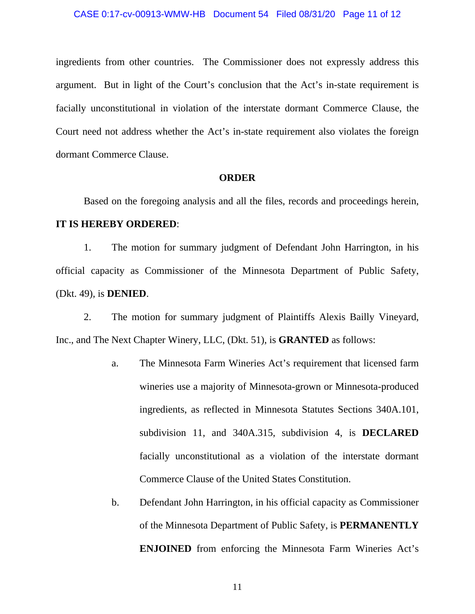ingredients from other countries. The Commissioner does not expressly address this argument. But in light of the Court's conclusion that the Act's in-state requirement is facially unconstitutional in violation of the interstate dormant Commerce Clause, the Court need not address whether the Act's in-state requirement also violates the foreign dormant Commerce Clause.

### **ORDER**

Based on the foregoing analysis and all the files, records and proceedings herein, **IT IS HEREBY ORDERED**:

1. The motion for summary judgment of Defendant John Harrington, in his official capacity as Commissioner of the Minnesota Department of Public Safety, (Dkt. 49), is **DENIED**.

2. The motion for summary judgment of Plaintiffs Alexis Bailly Vineyard, Inc., and The Next Chapter Winery, LLC, (Dkt. 51), is **GRANTED** as follows:

- a. The Minnesota Farm Wineries Act's requirement that licensed farm wineries use a majority of Minnesota-grown or Minnesota-produced ingredients, as reflected in Minnesota Statutes Sections 340A.101, subdivision 11, and 340A.315, subdivision 4, is **DECLARED** facially unconstitutional as a violation of the interstate dormant Commerce Clause of the United States Constitution.
- b. Defendant John Harrington, in his official capacity as Commissioner of the Minnesota Department of Public Safety, is **PERMANENTLY ENJOINED** from enforcing the Minnesota Farm Wineries Act's